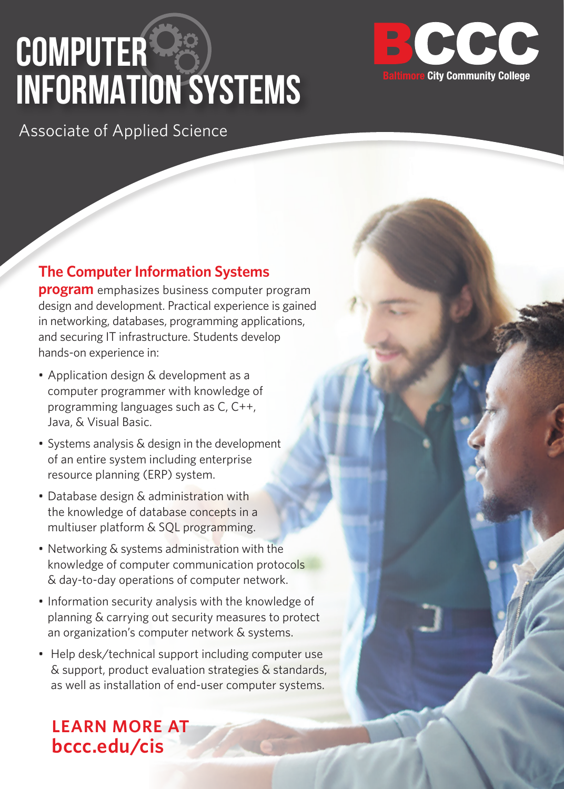# **COMPUTER INFORMATION SYSTEMS**



Associate of Applied Science

#### **The Computer Information Systems**

**program** emphasizes business computer program design and development. Practical experience is gained in networking, databases, programming applications, and securing IT infrastructure. Students develop hands-on experience in:

- Application design & development as a computer programmer with knowledge of programming languages such as C, C++, Java, & Visual Basic.
- Systems analysis & design in the development of an entire system including enterprise resource planning (ERP) system.
- Database design & administration with the knowledge of database concepts in a multiuser platform & SQL programming.
- Networking & systems administration with the knowledge of computer communication protocols & day-to-day operations of computer network.
- Information security analysis with the knowledge of planning & carrying out security measures to protect an organization's computer network & systems.
- Help desk/technical support including computer use & support, product evaluation strategies & standards, as well as installation of end-user computer systems.

**LEARN MORE AT bccc.edu/cis**